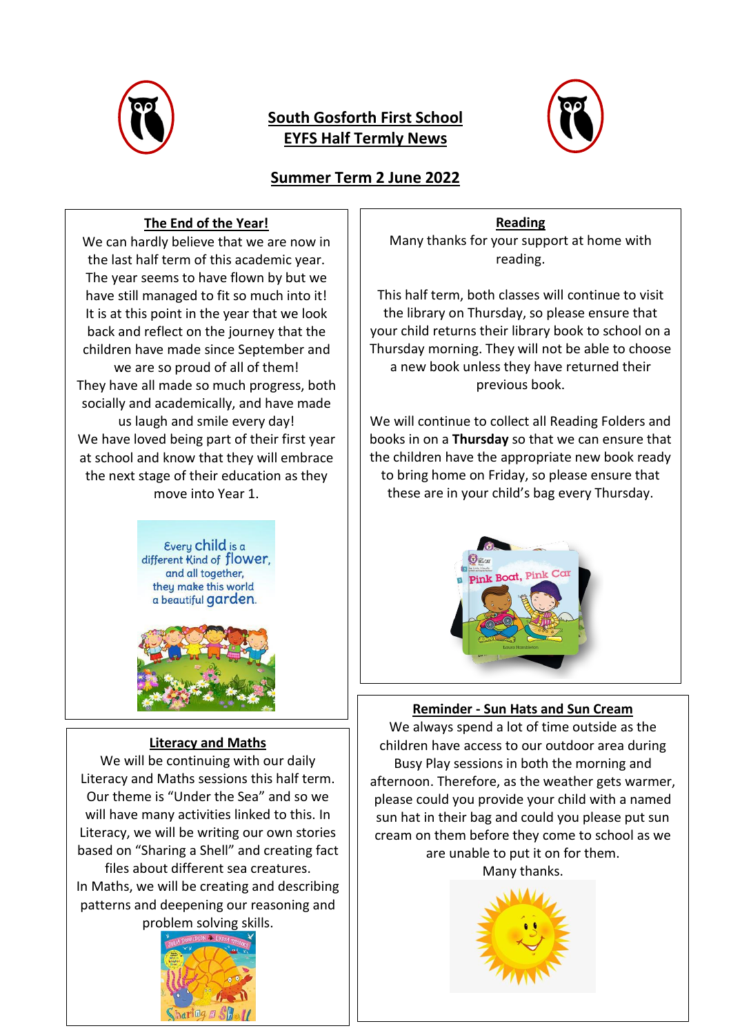

# **South Gosforth First School EYFS Half Termly News**



# **Summer Term 2 June 2022**

## **The End of the Year!**

We can hardly believe that we are now in the last half term of this academic year. The year seems to have flown by but we have still managed to fit so much into it! It is at this point in the year that we look back and reflect on the journey that the children have made since September and we are so proud of all of them! They have all made so much progress, both socially and academically, and have made us laugh and smile every day! We have loved being part of their first year at school and know that they will embrace the next stage of their education as they move into Year 1.

> Every Child is a different Kind of flower, and all together, they make this world a beautiful garden.



### **Literacy and Maths**

We will be continuing with our daily Literacy and Maths sessions this half term. Our theme is "Under the Sea" and so we will have many activities linked to this. In Literacy, we will be writing our own stories based on "Sharing a Shell" and creating fact files about different sea creatures. In Maths, we will be creating and describing patterns and deepening our reasoning and problem solving skills.



**Reading**

Many thanks for your support at home with reading.

This half term, both classes will continue to visit the library on Thursday, so please ensure that your child returns their library book to school on a Thursday morning. They will not be able to choose a new book unless they have returned their previous book.

We will continue to collect all Reading Folders and books in on a **Thursday** so that we can ensure that the children have the appropriate new book ready to bring home on Friday, so please ensure that these are in your child's bag every Thursday.



### **Reminder - Sun Hats and Sun Cream**

We always spend a lot of time outside as the children have access to our outdoor area during Busy Play sessions in both the morning and afternoon. Therefore, as the weather gets warmer, please could you provide your child with a named sun hat in their bag and could you please put sun cream on them before they come to school as we are unable to put it on for them.

Many thanks.